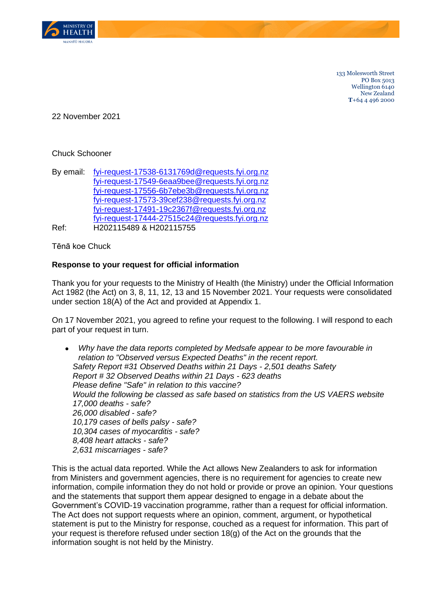

133 Molesworth Street PO Box 5013 Wellington 6140 New Zealand **T**+64 4 496 2000

22 November 2021

## Chuck Schooner

| By email: | fyi-request-17538-6131769d@requests.fyi.org.nz |
|-----------|------------------------------------------------|
|           | fyi-request-17549-6eaa9bee@requests.fyi.org.nz |
|           | fyi-request-17556-6b7ebe3b@requests.fyi.org.nz |
|           | fyi-request-17573-39cef238@requests.fyi.org.nz |
|           | fyi-request-17491-19c2367f@requests.fyi.org.nz |
|           | fyi-request-17444-27515c24@requests.fyi.org.nz |
| Ref:      | H202115489 & H202115755                        |

Tēnā koe Chuck

## **Response to your request for official information**

Thank you for your requests to the Ministry of Health (the Ministry) under the Official Information Act 1982 (the Act) on 3, 8, 11, 12, 13 and 15 November 2021. Your requests were consolidated under section 18(A) of the Act and provided at Appendix 1.

On 17 November 2021, you agreed to refine your request to the following. I will respond to each part of your request in turn.

• *Why have the data reports completed by Medsafe appear to be more favourable in relation to "Observed versus Expected Deaths" in the recent report. Safety Report #31 Observed Deaths within 21 Days - 2,501 deaths Safety Report # 32 Observed Deaths within 21 Days - 623 deaths Please define "Safe" in relation to this vaccine? Would the following be classed as safe based on statistics from the US VAERS website 17,000 deaths - safe? 26,000 disabled - safe? 10,179 cases of bells palsy - safe? 10,304 cases of myocarditis - safe? 8,408 heart attacks - safe? 2,631 miscarriages - safe?*

This is the actual data reported. While the Act allows New Zealanders to ask for information from Ministers and government agencies, there is no requirement for agencies to create new information, compile information they do not hold or provide or prove an opinion. Your questions and the statements that support them appear designed to engage in a debate about the Government's COVID-19 vaccination programme, rather than a request for official information. The Act does not support requests where an opinion, comment, argument, or hypothetical statement is put to the Ministry for response, couched as a request for information. This part of your request is therefore refused under section 18(g) of the Act on the grounds that the information sought is not held by the Ministry.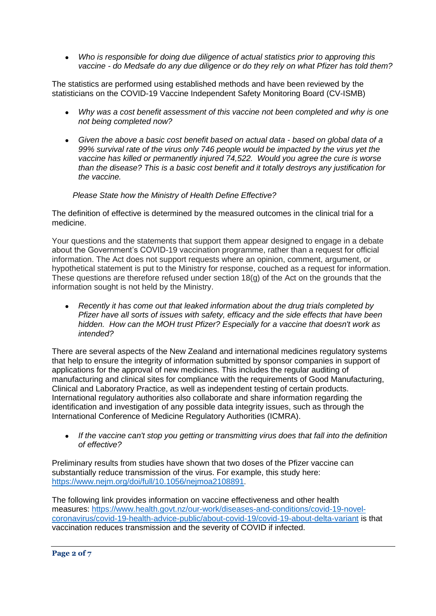• *Who is responsible for doing due diligence of actual statistics prior to approving this vaccine - do Medsafe do any due diligence or do they rely on what Pfizer has told them?*

The statistics are performed using established methods and have been reviewed by the statisticians on the COVID-19 Vaccine Independent Safety Monitoring Board (CV-ISMB)

- *Why was a cost benefit assessment of this vaccine not been completed and why is one not being completed now?*
- *Given the above a basic cost benefit based on actual data - based on global data of a 99% survival rate of the virus only 746 people would be impacted by the virus yet the vaccine has killed or permanently injured 74,522. Would you agree the cure is worse than the disease? This is a basic cost benefit and it totally destroys any justification for the vaccine.*

## *Please State how the Ministry of Health Define Effective?*

The definition of effective is determined by the measured outcomes in the clinical trial for a medicine.

Your questions and the statements that support them appear designed to engage in a debate about the Government's COVID-19 vaccination programme, rather than a request for official information. The Act does not support requests where an opinion, comment, argument, or hypothetical statement is put to the Ministry for response, couched as a request for information. These questions are therefore refused under section 18(g) of the Act on the grounds that the information sought is not held by the Ministry.

• *Recently it has come out that leaked information about the drug trials completed by Pfizer have all sorts of issues with safety, efficacy and the side effects that have been hidden. How can the MOH trust Pfizer? Especially for a vaccine that doesn't work as intended?*

There are several aspects of the New Zealand and international medicines regulatory systems that help to ensure the integrity of information submitted by sponsor companies in support of applications for the approval of new medicines. This includes the regular auditing of manufacturing and clinical sites for compliance with the requirements of Good Manufacturing, Clinical and Laboratory Practice, as well as independent testing of certain products. International regulatory authorities also collaborate and share information regarding the identification and investigation of any possible data integrity issues, such as through the International Conference of Medicine Regulatory Authorities (ICMRA).

• *If the vaccine can't stop you getting or transmitting virus does that fall into the definition of effective?*

Preliminary results from studies have shown that two doses of the Pfizer vaccine can substantially reduce transmission of the virus. For example, this study here: <https://www.nejm.org/doi/full/10.1056/nejmoa2108891>.

The following link provides information on vaccine effectiveness and other health measures: [https://www.health.govt.nz/our-work/diseases-and-conditions/covid-19-novel](https://www.health.govt.nz/our-work/diseases-and-conditions/covid-19-novel-coronavirus/covid-19-health-advice-public/about-covid-19/covid-19-about-delta-variant)[coronavirus/covid-19-health-advice-public/about-covid-19/covid-19-about-delta-variant](https://www.health.govt.nz/our-work/diseases-and-conditions/covid-19-novel-coronavirus/covid-19-health-advice-public/about-covid-19/covid-19-about-delta-variant) is that vaccination reduces transmission and the severity of COVID if infected.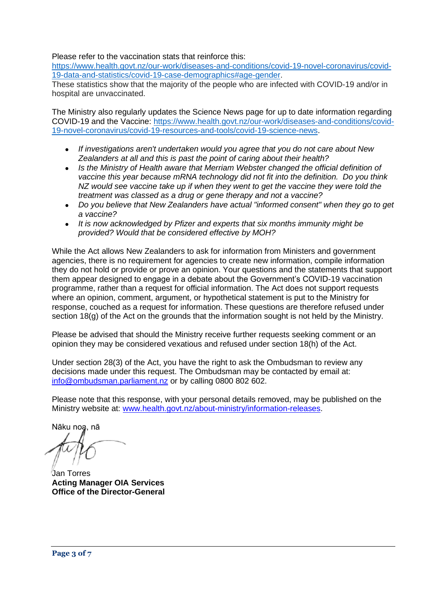Please refer to the vaccination stats that reinforce this:

[https://www.health.govt.nz/our-work/diseases-and-conditions/covid-19-novel-coronavirus/covid-](https://www.health.govt.nz/our-work/diseases-and-conditions/covid-19-novel-coronavirus/covid-19-data-and-statistics/covid-19-case-demographics#age-gender)[19-data-and-statistics/covid-19-case-demographics#age-gender.](https://www.health.govt.nz/our-work/diseases-and-conditions/covid-19-novel-coronavirus/covid-19-data-and-statistics/covid-19-case-demographics#age-gender)

These statistics show that the majority of the people who are infected with COVID-19 and/or in hospital are unvaccinated.

The Ministry also regularly updates the Science News page for up to date information regarding COVID-19 and the Vaccine: [https://www.health.govt.nz/our-work/diseases-and-conditions/covid-](https://www.health.govt.nz/our-work/diseases-and-conditions/covid-19-novel-coronavirus/covid-19-resources-and-tools/covid-19-science-news)[19-novel-coronavirus/covid-19-resources-and-tools/covid-19-science-news.](https://www.health.govt.nz/our-work/diseases-and-conditions/covid-19-novel-coronavirus/covid-19-resources-and-tools/covid-19-science-news)

- *If investigations aren't undertaken would you agree that you do not care about New Zealanders at all and this is past the point of caring about their health?*
- *Is the Ministry of Health aware that Merriam Webster changed the official definition of vaccine this year because mRNA technology did not fit into the definition. Do you think NZ would see vaccine take up if when they went to get the vaccine they were told the treatment was classed as a drug or gene therapy and not a vaccine?*
- *Do you believe that New Zealanders have actual "informed consent" when they go to get a vaccine?*
- *It is now acknowledged by Pfizer and experts that six months immunity might be provided? Would that be considered effective by MOH?*

While the Act allows New Zealanders to ask for information from Ministers and government agencies, there is no requirement for agencies to create new information, compile information they do not hold or provide or prove an opinion. Your questions and the statements that support them appear designed to engage in a debate about the Government's COVID-19 vaccination programme, rather than a request for official information. The Act does not support requests where an opinion, comment, argument, or hypothetical statement is put to the Ministry for response, couched as a request for information. These questions are therefore refused under section 18(g) of the Act on the grounds that the information sought is not held by the Ministry.

Please be advised that should the Ministry receive further requests seeking comment or an opinion they may be considered vexatious and refused under section 18(h) of the Act.

Under section 28(3) of the Act, you have the right to ask the Ombudsman to review any decisions made under this request. The Ombudsman may be contacted by email at: [info@ombudsman.parliament.nz](mailto:xxxx@xxxxxxxxx.xxxxxxxxxx.xx) or by calling 0800 802 602.

Please note that this response, with your personal details removed, may be published on the Ministry website at: [www.health.govt.nz/about-ministry/information-releases.](http://www.health.govt.nz/about-ministry/information-releases)

Nāku noa, nā

Jan Torres **Acting Manager OIA Services Office of the Director-General**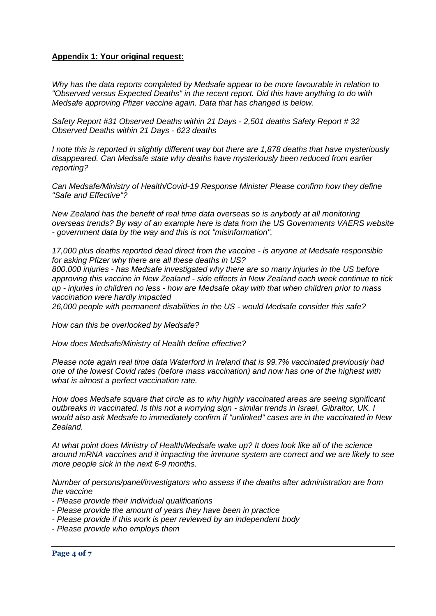## **Appendix 1: Your original request:**

*Why has the data reports completed by Medsafe appear to be more favourable in relation to "Observed versus Expected Deaths" in the recent report. Did this have anything to do with Medsafe approving Pfizer vaccine again. Data that has changed is below.*

*Safety Report #31 Observed Deaths within 21 Days - 2,501 deaths Safety Report # 32 Observed Deaths within 21 Days - 623 deaths*

*I note this is reported in slightly different way but there are 1,878 deaths that have mysteriously disappeared. Can Medsafe state why deaths have mysteriously been reduced from earlier reporting?*

*Can Medsafe/Ministry of Health/Covid-19 Response Minister Please confirm how they define "Safe and Effective"?*

*New Zealand has the benefit of real time data overseas so is anybody at all monitoring overseas trends? By way of an example here is data from the US Governments VAERS website - government data by the way and this is not "misinformation".*

*17,000 plus deaths reported dead direct from the vaccine - is anyone at Medsafe responsible for asking Pfizer why there are all these deaths in US?*

*800,000 injuries - has Medsafe investigated why there are so many injuries in the US before approving this vaccine in New Zealand - side effects in New Zealand each week continue to tick up - injuries in children no less - how are Medsafe okay with that when children prior to mass vaccination were hardly impacted*

*26,000 people with permanent disabilities in the US - would Medsafe consider this safe?*

*How can this be overlooked by Medsafe?* 

*How does Medsafe/Ministry of Health define effective?*

*Please note again real time data Waterford in Ireland that is 99.7% vaccinated previously had one of the lowest Covid rates (before mass vaccination) and now has one of the highest with what is almost a perfect vaccination rate.*

*How does Medsafe square that circle as to why highly vaccinated areas are seeing significant outbreaks in vaccinated. Is this not a worrying sign - similar trends in Israel, Gibraltor, UK. I would also ask Medsafe to immediately confirm if "unlinked" cases are in the vaccinated in New Zealand.*

*At what point does Ministry of Health/Medsafe wake up? It does look like all of the science around mRNA vaccines and it impacting the immune system are correct and we are likely to see more people sick in the next 6-9 months.*

*Number of persons/panel/investigators who assess if the deaths after administration are from the vaccine*

- *- Please provide their individual qualifications*
- *- Please provide the amount of years they have been in practice*
- *- Please provide if this work is peer reviewed by an independent body*
- *- Please provide who employs them*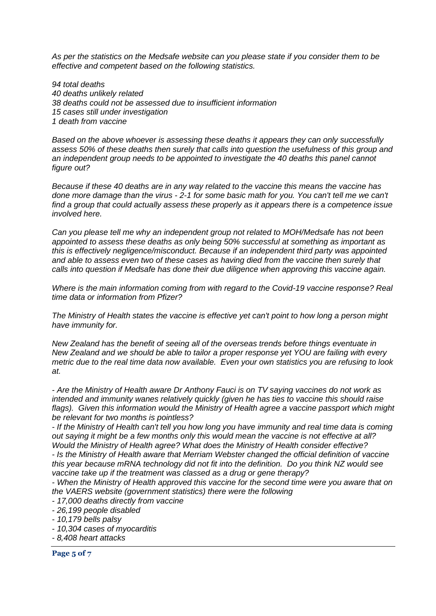*As per the statistics on the Medsafe website can you please state if you consider them to be effective and competent based on the following statistics.*

*94 total deaths 40 deaths unlikely related 38 deaths could not be assessed due to insufficient information 15 cases still under investigation 1 death from vaccine*

*Based on the above whoever is assessing these deaths it appears they can only successfully assess 50% of these deaths then surely that calls into question the usefulness of this group and an independent group needs to be appointed to investigate the 40 deaths this panel cannot figure out?*

*Because if these 40 deaths are in any way related to the vaccine this means the vaccine has done more damage than the virus - 2-1 for some basic math for you. You can't tell me we can't find a group that could actually assess these properly as it appears there is a competence issue involved here.* 

*Can you please tell me why an independent group not related to MOH/Medsafe has not been appointed to assess these deaths as only being 50% successful at something as important as this is effectively negligence/misconduct. Because if an independent third party was appointed and able to assess even two of these cases as having died from the vaccine then surely that calls into question if Medsafe has done their due diligence when approving this vaccine again.*

*Where is the main information coming from with regard to the Covid-19 vaccine response? Real time data or information from Pfizer?*

*The Ministry of Health states the vaccine is effective yet can't point to how long a person might have immunity for.*

*New Zealand has the benefit of seeing all of the overseas trends before things eventuate in New Zealand and we should be able to tailor a proper response yet YOU are failing with every metric due to the real time data now available. Even your own statistics you are refusing to look at.*

*- Are the Ministry of Health aware Dr Anthony Fauci is on TV saying vaccines do not work as intended and immunity wanes relatively quickly (given he has ties to vaccine this should raise flags). Given this information would the Ministry of Health agree a vaccine passport which might be relevant for two months is pointless?*

*- If the Ministry of Health can't tell you how long you have immunity and real time data is coming out saying it might be a few months only this would mean the vaccine is not effective at all? Would the Ministry of Health agree? What does the Ministry of Health consider effective? - Is the Ministry of Health aware that Merriam Webster changed the official definition of vaccine* 

*this year because mRNA technology did not fit into the definition. Do you think NZ would see vaccine take up if the treatment was classed as a drug or gene therapy?*

*- When the Ministry of Health approved this vaccine for the second time were you aware that on the VAERS website (government statistics) there were the following*

- *- 17,000 deaths directly from vaccine*
- *- 26,199 people disabled*
- *- 10,179 bells palsy*
- *- 10,304 cases of myocarditis*
- *- 8,408 heart attacks*

**Page 5 of 7**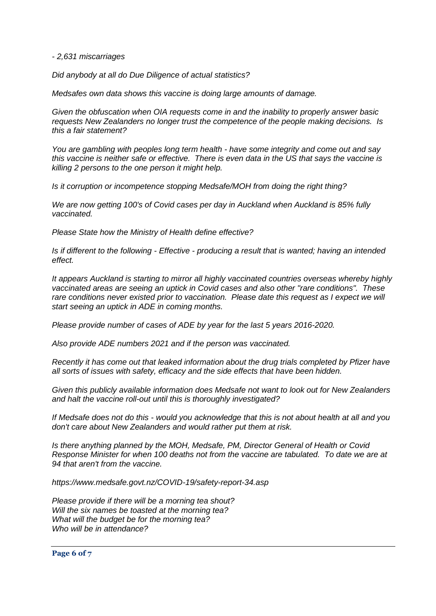*- 2,631 miscarriages*

*Did anybody at all do Due Diligence of actual statistics?*

*Medsafes own data shows this vaccine is doing large amounts of damage.*

*Given the obfuscation when OIA requests come in and the inability to properly answer basic requests New Zealanders no longer trust the competence of the people making decisions. Is this a fair statement?*

*You are gambling with peoples long term health - have some integrity and come out and say this vaccine is neither safe or effective. There is even data in the US that says the vaccine is killing 2 persons to the one person it might help.* 

*Is it corruption or incompetence stopping Medsafe/MOH from doing the right thing?*

*We are now getting 100's of Covid cases per day in Auckland when Auckland is 85% fully vaccinated.* 

*Please State how the Ministry of Health define effective?*

*Is if different to the following - Effective - producing a result that is wanted; having an intended effect.*

*It appears Auckland is starting to mirror all highly vaccinated countries overseas whereby highly vaccinated areas are seeing an uptick in Covid cases and also other "rare conditions". These rare conditions never existed prior to vaccination. Please date this request as I expect we will start seeing an uptick in ADE in coming months.* 

*Please provide number of cases of ADE by year for the last 5 years 2016-2020.*

*Also provide ADE numbers 2021 and if the person was vaccinated.*

*Recently it has come out that leaked information about the drug trials completed by Pfizer have all sorts of issues with safety, efficacy and the side effects that have been hidden.*

*Given this publicly available information does Medsafe not want to look out for New Zealanders and halt the vaccine roll-out until this is thoroughly investigated?*

*If Medsafe does not do this - would you acknowledge that this is not about health at all and you don't care about New Zealanders and would rather put them at risk.*

*Is there anything planned by the MOH, Medsafe, PM, Director General of Health or Covid Response Minister for when 100 deaths not from the vaccine are tabulated. To date we are at 94 that aren't from the vaccine.*

*https://www.medsafe.govt.nz/COVID-19/safety-report-34.asp*

*Please provide if there will be a morning tea shout? Will the six names be toasted at the morning tea? What will the budget be for the morning tea? Who will be in attendance?*